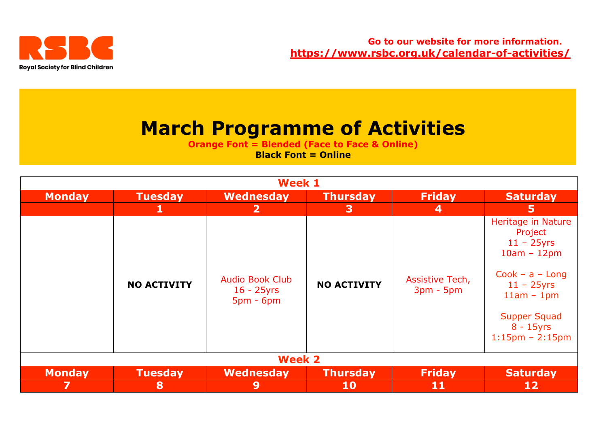

# **March Programme of Activities**

**Orange Font = Blended (Face to Face & Online) Black Font = Online** 

| <b>Week 1</b> |                    |                                                        |                    |                                |                                                                                                                                                                                           |  |  |
|---------------|--------------------|--------------------------------------------------------|--------------------|--------------------------------|-------------------------------------------------------------------------------------------------------------------------------------------------------------------------------------------|--|--|
| <b>Monday</b> | <b>Tuesday</b>     | Wednesday                                              | <b>Thursday</b>    | <b>Friday</b>                  | <b>Saturday</b>                                                                                                                                                                           |  |  |
|               | 1                  | $\mathbf{2}$                                           | 3                  | 4                              | 5                                                                                                                                                                                         |  |  |
|               | <b>NO ACTIVITY</b> | <b>Audio Book Club</b><br>$16 - 25$ yrs<br>$5pm - 6pm$ | <b>NO ACTIVITY</b> | Assistive Tech,<br>$3pm - 5pm$ | <b>Heritage in Nature</b><br>Project<br>$11 - 25$ yrs<br>$10am - 12pm$<br>$Cook - a - Long$<br>$11 - 25$ yrs<br>$11am - 1pm$<br><b>Supper Squad</b><br>$8 - 15$ yrs<br>$1:15$ pm - 2:15pm |  |  |
| <b>Week 2</b> |                    |                                                        |                    |                                |                                                                                                                                                                                           |  |  |
| <b>Monday</b> | <b>Tuesday</b>     | Wednesday                                              | <b>Thursday</b>    | <b>Friday</b>                  | <b>Saturday</b>                                                                                                                                                                           |  |  |
| 7             | 8                  | 9                                                      | <b>10</b>          | 11                             | <b>12</b>                                                                                                                                                                                 |  |  |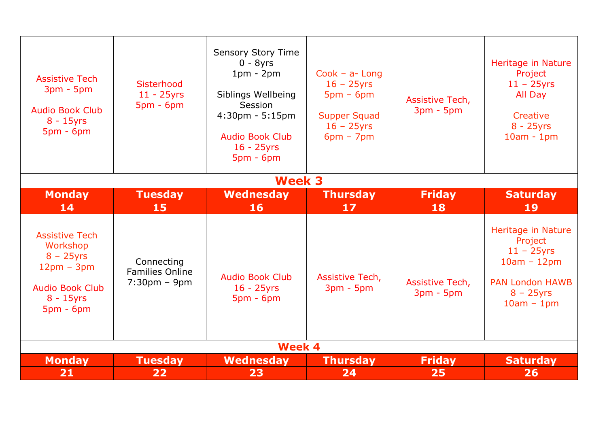| <b>Assistive Tech</b><br>$3pm - 5pm$<br><b>Audio Book Club</b><br>$8 - 15$ yrs<br>$5pm - 6pm$                              | Sisterhood<br>$11 - 25$ yrs<br>$5pm - 6pm$                             | Sensory Story Time<br>$0 - 8yrs$<br>$1pm - 2pm$<br>Siblings Wellbeing<br>Session<br>$4:30$ pm - $5:15$ pm<br><b>Audio Book Club</b><br>$16 - 25$ yrs<br>$5pm - 6pm$ | $Cook - a- Long$<br>$16 - 25$ yrs<br>$5pm - 6pm$<br><b>Supper Squad</b><br>$16 - 25$ yrs<br>$6pm - 7pm$ | Assistive Tech,<br>$3pm - 5pm$ | Heritage in Nature<br>Project<br>$11 - 25$ yrs<br>All Day<br>Creative<br>$8 - 25$ yrs<br>$10am - 1pm$                     |  |  |  |
|----------------------------------------------------------------------------------------------------------------------------|------------------------------------------------------------------------|---------------------------------------------------------------------------------------------------------------------------------------------------------------------|---------------------------------------------------------------------------------------------------------|--------------------------------|---------------------------------------------------------------------------------------------------------------------------|--|--|--|
|                                                                                                                            | <b>Week 3</b>                                                          |                                                                                                                                                                     |                                                                                                         |                                |                                                                                                                           |  |  |  |
| <b>Monday</b>                                                                                                              | <b>Tuesday</b>                                                         | <b>Wednesday</b>                                                                                                                                                    | <b>Thursday</b>                                                                                         | <b>Friday</b>                  | <b>Saturday</b>                                                                                                           |  |  |  |
| 14                                                                                                                         | 15                                                                     | <b>16</b>                                                                                                                                                           | 17                                                                                                      | 18                             | 19                                                                                                                        |  |  |  |
| <b>Assistive Tech</b><br>Workshop<br>$8 - 25$ yrs<br>$12pm - 3pm$<br><b>Audio Book Club</b><br>$8 - 15$ yrs<br>$5pm - 6pm$ | Connecting<br><b>Families Online</b><br>$7:30 \text{pm} - 9 \text{pm}$ | <b>Audio Book Club</b><br>$16 - 25$ yrs<br>$5pm - 6pm$                                                                                                              | Assistive Tech,<br>$3pm - 5pm$                                                                          | Assistive Tech,<br>$3pm - 5pm$ | Heritage in Nature<br>Project<br>$11 - 25$ yrs<br>$10am - 12pm$<br><b>PAN London HAWB</b><br>$8 - 25$ yrs<br>$10am - 1pm$ |  |  |  |
| <b>Week 4</b>                                                                                                              |                                                                        |                                                                                                                                                                     |                                                                                                         |                                |                                                                                                                           |  |  |  |
| <b>Monday</b>                                                                                                              | <b>Tuesday</b>                                                         | <b>Wednesday</b>                                                                                                                                                    | <b>Thursday</b>                                                                                         | <b>Friday</b>                  | <b>Saturday</b>                                                                                                           |  |  |  |
| 21                                                                                                                         | 22                                                                     | 23                                                                                                                                                                  | 24                                                                                                      | 25                             | 26                                                                                                                        |  |  |  |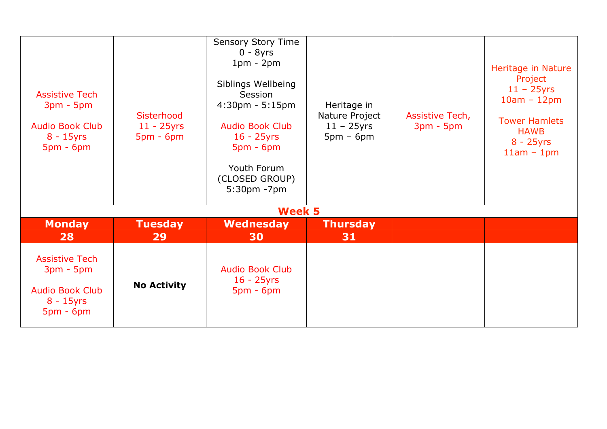| <b>Assistive Tech</b><br>$3pm - 5pm$<br><b>Audio Book Club</b><br>$8 - 15$ yrs<br>$5pm - 6pm$ | Sisterhood<br>$11 - 25$ yrs<br>$5pm - 6pm$ | <b>Sensory Story Time</b><br>$0 - 8yrs$<br>$1pm - 2pm$<br>Siblings Wellbeing<br>Session<br>$4:30$ pm - 5:15pm<br><b>Audio Book Club</b><br>$16 - 25$ yrs<br>$5pm - 6pm$<br>Youth Forum<br>(CLOSED GROUP)<br>5:30pm -7pm | Heritage in<br>Nature Project<br>$11 - 25$ yrs<br>$5pm - 6pm$ | Assistive Tech,<br>$3pm - 5pm$ | Heritage in Nature<br>Project<br>$11 - 25$ yrs<br>$10am - 12pm$<br><b>Tower Hamlets</b><br><b>HAWB</b><br>$8 - 25$ yrs<br>$11am - 1pm$ |
|-----------------------------------------------------------------------------------------------|--------------------------------------------|-------------------------------------------------------------------------------------------------------------------------------------------------------------------------------------------------------------------------|---------------------------------------------------------------|--------------------------------|----------------------------------------------------------------------------------------------------------------------------------------|
|                                                                                               |                                            | <b>Week 5</b>                                                                                                                                                                                                           |                                                               |                                |                                                                                                                                        |
| <b>Monday</b>                                                                                 | <b>Tuesday</b>                             | Wednesday                                                                                                                                                                                                               | <b>Thursday</b>                                               |                                |                                                                                                                                        |
| 28                                                                                            | 29                                         | 30                                                                                                                                                                                                                      | 31                                                            |                                |                                                                                                                                        |
| <b>Assistive Tech</b><br>$3pm - 5pm$<br><b>Audio Book Club</b><br>$8 - 15$ yrs<br>$5pm - 6pm$ | <b>No Activity</b>                         | <b>Audio Book Club</b><br>$16 - 25$ yrs<br>$5pm - 6pm$                                                                                                                                                                  |                                                               |                                |                                                                                                                                        |